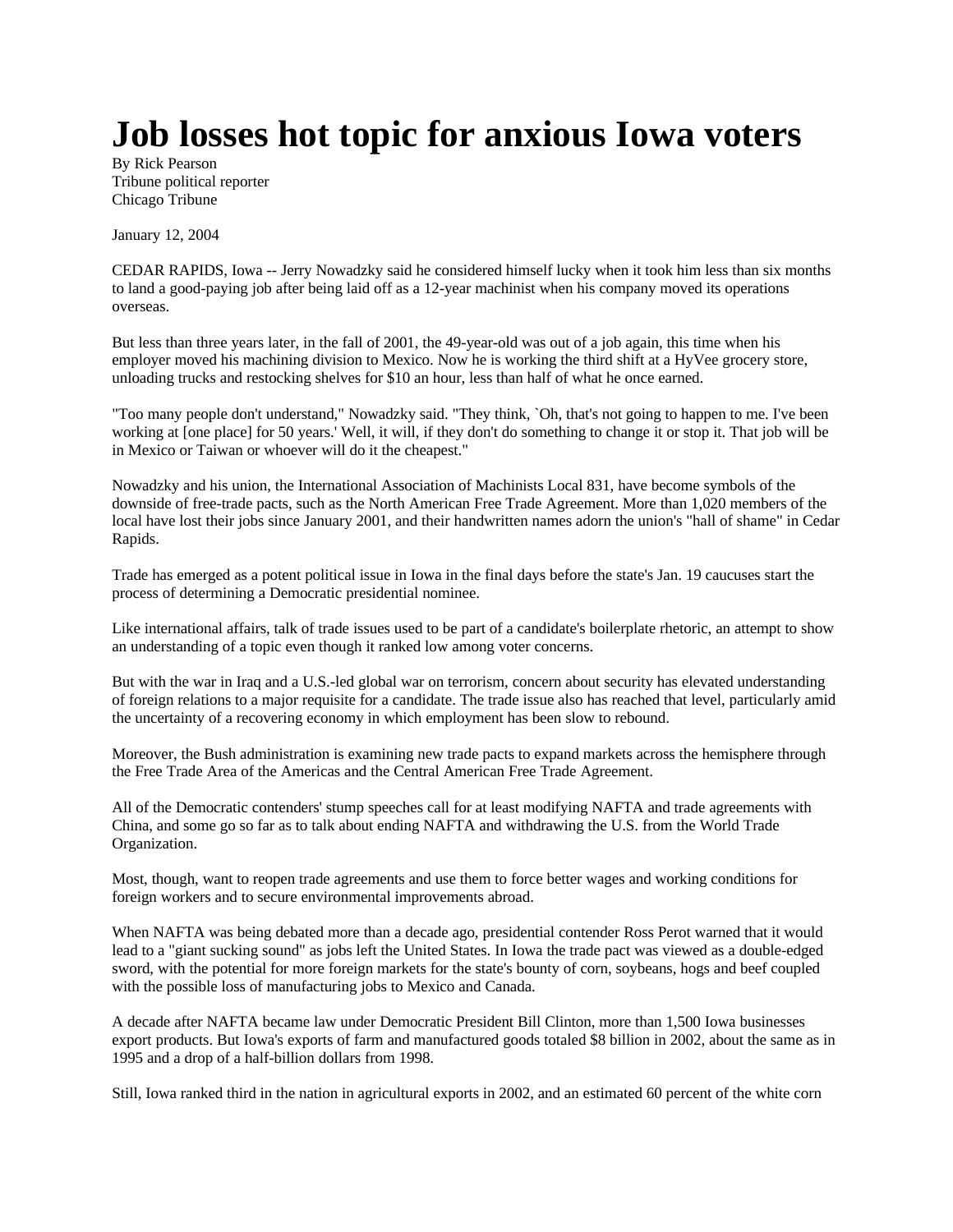## **Job losses hot topic for anxious Iowa voters**

By Rick Pearson Tribune political reporter Chicago Tribune

January 12, 2004

CEDAR RAPIDS, Iowa -- Jerry Nowadzky said he considered himself lucky when it took him less than six months to land a good-paying job after being laid off as a 12-year machinist when his company moved its operations overseas.

But less than three years later, in the fall of 2001, the 49-year-old was out of a job again, this time when his employer moved his machining division to Mexico. Now he is working the third shift at a HyVee grocery store, unloading trucks and restocking shelves for \$10 an hour, less than half of what he once earned.

"Too many people don't understand," Nowadzky said. "They think, `Oh, that's not going to happen to me. I've been working at [one place] for 50 years.' Well, it will, if they don't do something to change it or stop it. That job will be in Mexico or Taiwan or whoever will do it the cheapest."

Nowadzky and his union, the International Association of Machinists Local 831, have become symbols of the downside of free-trade pacts, such as the North American Free Trade Agreement. More than 1,020 members of the local have lost their jobs since January 2001, and their handwritten names adorn the union's "hall of shame" in Cedar Rapids.

Trade has emerged as a potent political issue in Iowa in the final days before the state's Jan. 19 caucuses start the process of determining a Democratic presidential nominee.

Like international affairs, talk of trade issues used to be part of a candidate's boilerplate rhetoric, an attempt to show an understanding of a topic even though it ranked low among voter concerns.

But with the war in Iraq and a U.S.-led global war on terrorism, concern about security has elevated understanding of foreign relations to a major requisite for a candidate. The trade issue also has reached that level, particularly amid the uncertainty of a recovering economy in which employment has been slow to rebound.

Moreover, the Bush administration is examining new trade pacts to expand markets across the hemisphere through the Free Trade Area of the Americas and the Central American Free Trade Agreement.

All of the Democratic contenders' stump speeches call for at least modifying NAFTA and trade agreements with China, and some go so far as to talk about ending NAFTA and withdrawing the U.S. from the World Trade Organization.

Most, though, want to reopen trade agreements and use them to force better wages and working conditions for foreign workers and to secure environmental improvements abroad.

When NAFTA was being debated more than a decade ago, presidential contender Ross Perot warned that it would lead to a "giant sucking sound" as jobs left the United States. In Iowa the trade pact was viewed as a double-edged sword, with the potential for more foreign markets for the state's bounty of corn, soybeans, hogs and beef coupled with the possible loss of manufacturing jobs to Mexico and Canada.

A decade after NAFTA became law under Democratic President Bill Clinton, more than 1,500 Iowa businesses export products. But Iowa's exports of farm and manufactured goods totaled \$8 billion in 2002, about the same as in 1995 and a drop of a half-billion dollars from 1998.

Still, Iowa ranked third in the nation in agricultural exports in 2002, and an estimated 60 percent of the white corn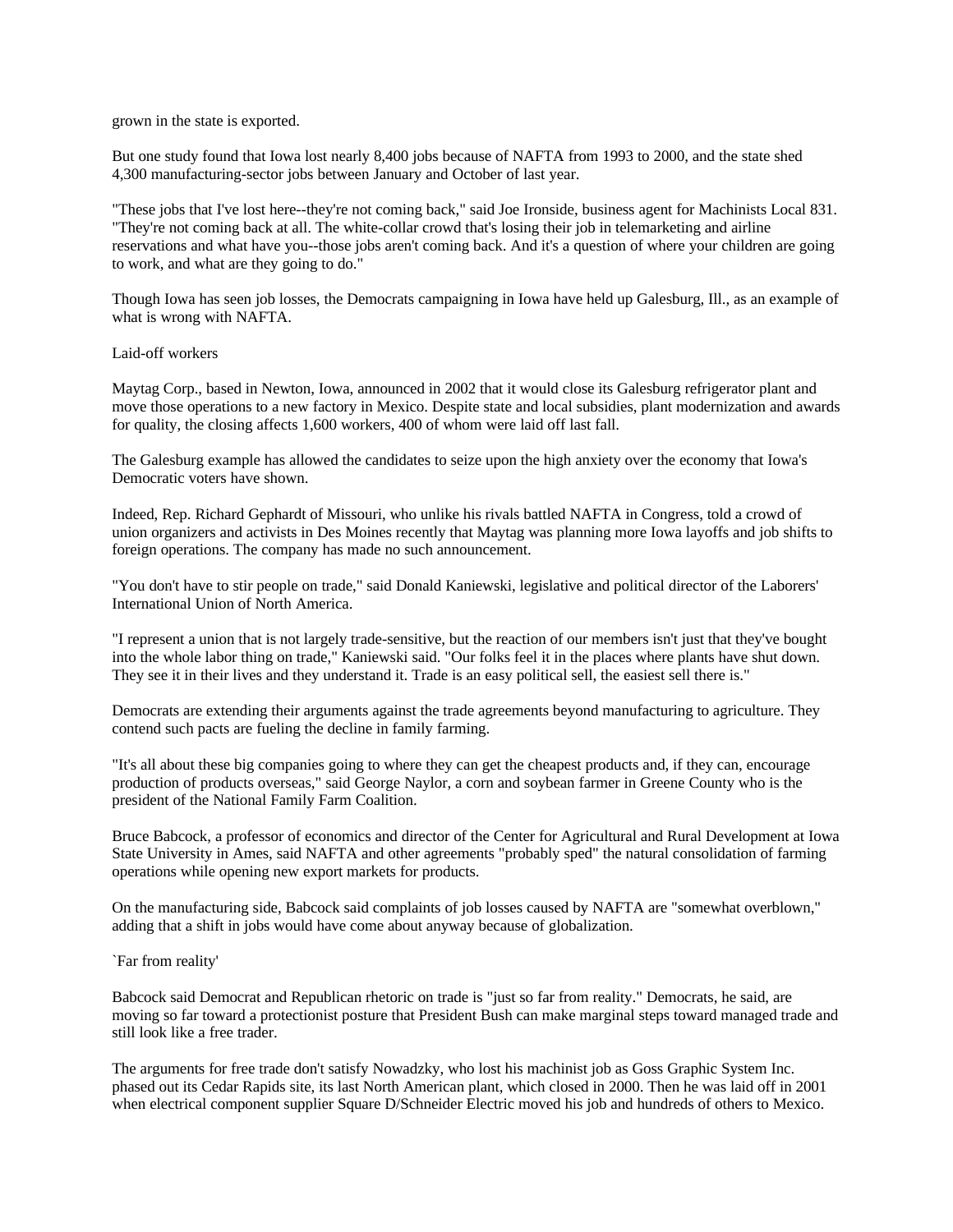grown in the state is exported.

But one study found that Iowa lost nearly 8,400 jobs because of NAFTA from 1993 to 2000, and the state shed 4,300 manufacturing-sector jobs between January and October of last year.

"These jobs that I've lost here--they're not coming back," said Joe Ironside, business agent for Machinists Local 831. "They're not coming back at all. The white-collar crowd that's losing their job in telemarketing and airline reservations and what have you--those jobs aren't coming back. And it's a question of where your children are going to work, and what are they going to do."

Though Iowa has seen job losses, the Democrats campaigning in Iowa have held up Galesburg, Ill., as an example of what is wrong with NAFTA.

## Laid-off workers

Maytag Corp., based in Newton, Iowa, announced in 2002 that it would close its Galesburg refrigerator plant and move those operations to a new factory in Mexico. Despite state and local subsidies, plant modernization and awards for quality, the closing affects 1,600 workers, 400 of whom were laid off last fall.

The Galesburg example has allowed the candidates to seize upon the high anxiety over the economy that Iowa's Democratic voters have shown.

Indeed, Rep. Richard Gephardt of Missouri, who unlike his rivals battled NAFTA in Congress, told a crowd of union organizers and activists in Des Moines recently that Maytag was planning more Iowa layoffs and job shifts to foreign operations. The company has made no such announcement.

"You don't have to stir people on trade," said Donald Kaniewski, legislative and political director of the Laborers' International Union of North America.

"I represent a union that is not largely trade-sensitive, but the reaction of our members isn't just that they've bought into the whole labor thing on trade," Kaniewski said. "Our folks feel it in the places where plants have shut down. They see it in their lives and they understand it. Trade is an easy political sell, the easiest sell there is."

Democrats are extending their arguments against the trade agreements beyond manufacturing to agriculture. They contend such pacts are fueling the decline in family farming.

"It's all about these big companies going to where they can get the cheapest products and, if they can, encourage production of products overseas," said George Naylor, a corn and soybean farmer in Greene County who is the president of the National Family Farm Coalition.

Bruce Babcock, a professor of economics and director of the Center for Agricultural and Rural Development at Iowa State University in Ames, said NAFTA and other agreements "probably sped" the natural consolidation of farming operations while opening new export markets for products.

On the manufacturing side, Babcock said complaints of job losses caused by NAFTA are "somewhat overblown," adding that a shift in jobs would have come about anyway because of globalization.

## `Far from reality'

Babcock said Democrat and Republican rhetoric on trade is "just so far from reality." Democrats, he said, are moving so far toward a protectionist posture that President Bush can make marginal steps toward managed trade and still look like a free trader.

The arguments for free trade don't satisfy Nowadzky, who lost his machinist job as Goss Graphic System Inc. phased out its Cedar Rapids site, its last North American plant, which closed in 2000. Then he was laid off in 2001 when electrical component supplier Square D/Schneider Electric moved his job and hundreds of others to Mexico.